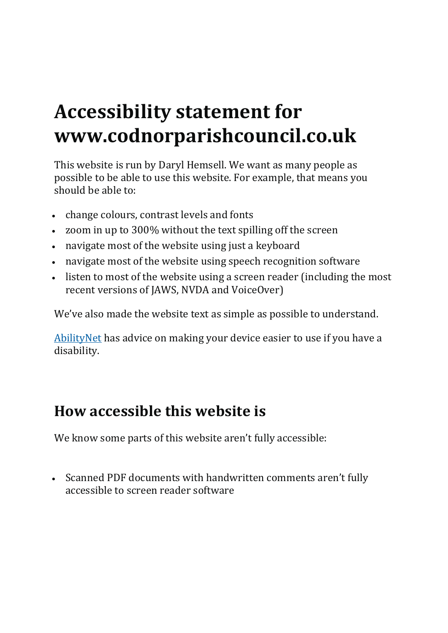### **Accessibility statement for www.codnorparishcouncil.co.uk**

This website is run by Daryl Hemsell. We want as many people as possible to be able to use this website. For example, that means you should be able to:

- change colours, contrast levels and fonts
- zoom in up to 300% without the text spilling off the screen
- navigate most of the website using just a keyboard
- navigate most of the website using speech recognition software
- listen to most of the website using a screen reader (including the most recent versions of JAWS, NVDA and VoiceOver)

We've also made the website text as simple as possible to understand.

[AbilityNet](https://mcmw.abilitynet.org.uk/) has advice on making your device easier to use if you have a disability.

#### **How accessible this website is**

We know some parts of this website aren't fully accessible:

• Scanned PDF documents with handwritten comments aren't fully accessible to screen reader software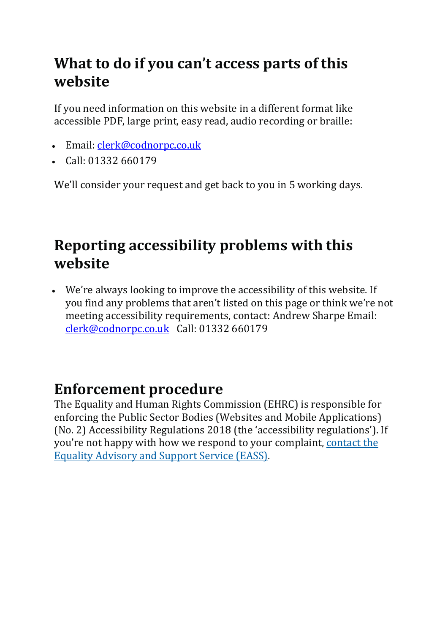### **What to do if you can't access parts of this website**

If you need information on this website in a different format like accessible PDF, large print, easy read, audio recording or braille:

- Email: [clerk@codnorpc.co.uk](mailto:clerk@codnorpc.co.uk)
- Call: 01332 660179

We'll consider your request and get back to you in 5 working days.

### **Reporting accessibility problems with this website**

• We're always looking to improve the accessibility of this website. If you find any problems that aren't listed on this page or think we're not meeting accessibility requirements, contact: Andrew Sharpe Email: <clerk@codnorpc.co.uk> Call: 01332 660179

#### **Enforcement procedure**

The Equality and Human Rights Commission (EHRC) is responsible for enforcing the Public Sector Bodies (Websites and Mobile Applications) (No. 2) Accessibility Regulations 2018 (the 'accessibility regulations'). If you're not happy with how we respond to your complaint, [contact](https://www.equalityadvisoryservice.com/) the Equality [Advisory](https://www.equalityadvisoryservice.com/) and Support Service (EASS).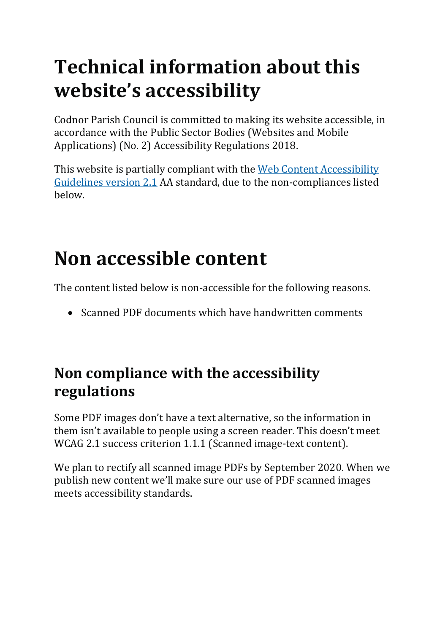# **Technical information about this website's accessibility**

Codnor Parish Council is committed to making its website accessible, in accordance with the Public Sector Bodies (Websites and Mobile Applications) (No. 2) Accessibility Regulations 2018.

This website is partially compliant with the Web Content [Accessibility](https://www.w3.org/TR/WCAG21/) [Guidelines](https://www.w3.org/TR/WCAG21/) version 2.1 AA standard, due to the non-compliances listed below.

# **Non accessible content**

The content listed below is non-accessible for the following reasons.

• Scanned PDF documents which have handwritten comments

### **Non compliance with the accessibility regulations**

Some PDF images don't have a text alternative, so the information in them isn't available to people using a screen reader. This doesn't meet WCAG 2.1 success criterion 1.1.1 (Scanned image-text content).

We plan to rectify all scanned image PDFs by September 2020. When we publish new content we'll make sure our use of PDF scanned images meets accessibility standards.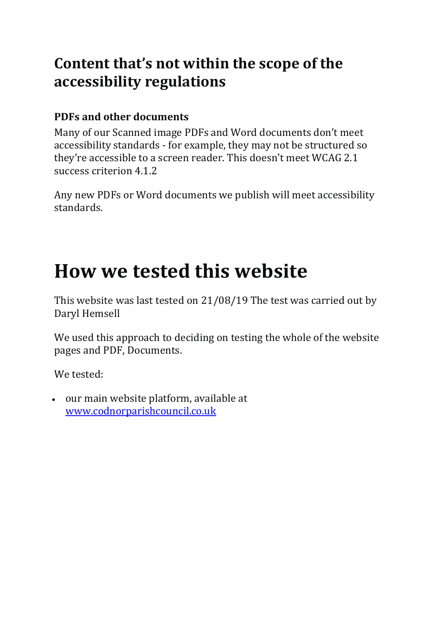#### **Content that's not within the scope of the accessibility regulations**

#### **PDFs and other documents**

Many of our Scanned image PDFs and Word documents don't meet accessibility standards - for example, they may not be structured so they're accessible to a screen reader. This doesn't meet WCAG 2.1 success criterion 4.1.2

Any new PDFs or Word documents we publish will meet accessibility standards.

### **How we tested this website**

This website was last tested on 21/08/19 The test was carried out by Daryl Hemsell

We used this approach to deciding on testing the whole of the website pages and PDF, Documents.

We tested:

• our main website platform, available at <www.codnorparishcouncil.co.uk>